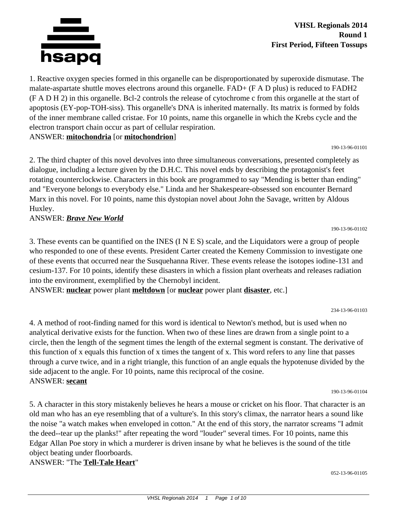

1. Reactive oxygen species formed in this organelle can be disproportionated by superoxide dismutase. The malate-aspartate shuttle moves electrons around this organelle. FAD+ (F A D plus) is reduced to FADH2 (F A D H 2) in this organelle. Bcl-2 controls the release of cytochrome c from this organelle at the start of apoptosis (EY-pop-TOH-siss). This organelle's DNA is inherited maternally. Its matrix is formed by folds of the inner membrane called cristae. For 10 points, name this organelle in which the Krebs cycle and the electron transport chain occur as part of cellular respiration.

## ANSWER: **mitochondria** [or **mitochondrion**]

190-13-96-01101

190-13-96-01102

2. The third chapter of this novel devolves into three simultaneous conversations, presented completely as dialogue, including a lecture given by the D.H.C. This novel ends by describing the protagonist's feet rotating counterclockwise. Characters in this book are programmed to say "Mending is better than ending" and "Everyone belongs to everybody else." Linda and her Shakespeare-obsessed son encounter Bernard Marx in this novel. For 10 points, name this dystopian novel about John the Savage, written by Aldous Huxley.

# ANSWER: *Brave New World*

3. These events can be quantified on the INES (I N E S) scale, and the Liquidators were a group of people who responded to one of these events. President Carter created the Kemeny Commission to investigate one of these events that occurred near the Susquehanna River. These events release the isotopes iodine-131 and cesium-137. For 10 points, identify these disasters in which a fission plant overheats and releases radiation into the environment, exemplified by the Chernobyl incident.

ANSWER: **nuclear** power plant **meltdown** [or **nuclear** power plant **disaster**, etc.]

234-13-96-01103

4. A method of root-finding named for this word is identical to Newton's method, but is used when no analytical derivative exists for the function. When two of these lines are drawn from a single point to a circle, then the length of the segment times the length of the external segment is constant. The derivative of this function of x equals this function of x times the tangent of x. This word refers to any line that passes through a curve twice, and in a right triangle, this function of an angle equals the hypotenuse divided by the side adjacent to the angle. For 10 points, name this reciprocal of the cosine. ANSWER: **secant**

190-13-96-01104

5. A character in this story mistakenly believes he hears a mouse or cricket on his floor. That character is an old man who has an eye resembling that of a vulture's. In this story's climax, the narrator hears a sound like the noise "a watch makes when enveloped in cotton." At the end of this story, the narrator screams "I admit the deed--tear up the planks!" after repeating the word "louder" several times. For 10 points, name this Edgar Allan Poe story in which a murderer is driven insane by what he believes is the sound of the title object beating under floorboards.

ANSWER: "The **Tell-Tale Heart**"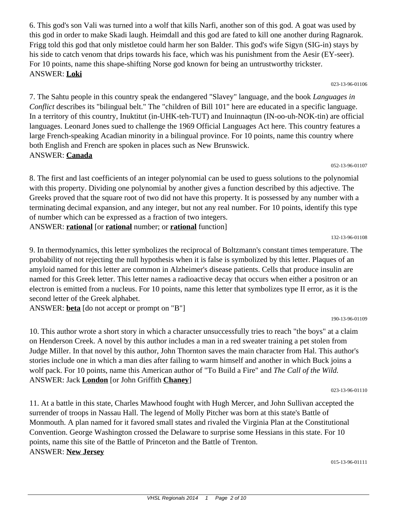6. This god's son Vali was turned into a wolf that kills Narfi, another son of this god. A goat was used by this god in order to make Skadi laugh. Heimdall and this god are fated to kill one another during Ragnarok. Frigg told this god that only mistletoe could harm her son Balder. This god's wife Sigyn (SIG-in) stays by his side to catch venom that drips towards his face, which was his punishment from the Aesir (EY-seer). For 10 points, name this shape-shifting Norse god known for being an untrustworthy trickster. ANSWER: **Loki**

023-13-96-01106

7. The Sahtu people in this country speak the endangered "Slavey" language, and the book *Languages in Conflict* describes its "bilingual belt." The "children of Bill 101" here are educated in a specific language. In a territory of this country, Inuktitut (in-UHK-teh-TUT) and Inuinnaqtun (IN-oo-uh-NOK-tin) are official languages. Leonard Jones sued to challenge the 1969 Official Languages Act here. This country features a large French-speaking Acadian minority in a bilingual province. For 10 points, name this country where both English and French are spoken in places such as New Brunswick. ANSWER: **Canada**

052-13-96-01107

8. The first and last coefficients of an integer polynomial can be used to guess solutions to the polynomial with this property. Dividing one polynomial by another gives a function described by this adjective. The Greeks proved that the square root of two did not have this property. It is possessed by any number with a terminating decimal expansion, and any integer, but not any real number. For 10 points, identify this type of number which can be expressed as a fraction of two integers. ANSWER: **rational** [or **rational** number; or **rational** function]

132-13-96-01108

9. In thermodynamics, this letter symbolizes the reciprocal of Boltzmann's constant times temperature. The probability of not rejecting the null hypothesis when it is false is symbolized by this letter. Plaques of an amyloid named for this letter are common in Alzheimer's disease patients. Cells that produce insulin are named for this Greek letter. This letter names a radioactive decay that occurs when either a positron or an electron is emitted from a nucleus. For 10 points, name this letter that symbolizes type II error, as it is the second letter of the Greek alphabet.

ANSWER: **beta** [do not accept or prompt on "B"]

190-13-96-01109

10. This author wrote a short story in which a character unsuccessfully tries to reach "the boys" at a claim on Henderson Creek. A novel by this author includes a man in a red sweater training a pet stolen from Judge Miller. In that novel by this author, John Thornton saves the main character from Hal. This author's stories include one in which a man dies after failing to warm himself and another in which Buck joins a wolf pack. For 10 points, name this American author of "To Build a Fire" and *The Call of the Wild.* ANSWER: Jack **London** [or John Griffith **Chaney**]

023-13-96-01110

11. At a battle in this state, Charles Mawhood fought with Hugh Mercer, and John Sullivan accepted the surrender of troops in Nassau Hall. The legend of Molly Pitcher was born at this state's Battle of Monmouth. A plan named for it favored small states and rivaled the Virginia Plan at the Constitutional Convention. George Washington crossed the Delaware to surprise some Hessians in this state. For 10 points, name this site of the Battle of Princeton and the Battle of Trenton. ANSWER: **New Jersey**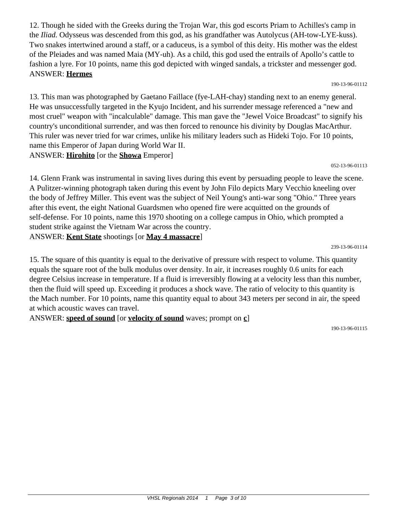12. Though he sided with the Greeks during the Trojan War, this god escorts Priam to Achilles's camp in the *Iliad.* Odysseus was descended from this god, as his grandfather was Autolycus (AH-tow-LYE-kuss). Two snakes intertwined around a staff, or a caduceus, is a symbol of this deity. His mother was the eldest of the Pleiades and was named Maia (MY-uh). As a child, this god used the entrails of Apollo's cattle to fashion a lyre. For 10 points, name this god depicted with winged sandals, a trickster and messenger god. ANSWER: **Hermes**

190-13-96-01112

13. This man was photographed by Gaetano Faillace (fye-LAH-chay) standing next to an enemy general. He was unsuccessfully targeted in the Kyujo Incident, and his surrender message referenced a "new and most cruel" weapon with "incalculable" damage. This man gave the "Jewel Voice Broadcast" to signify his country's unconditional surrender, and was then forced to renounce his divinity by Douglas MacArthur. This ruler was never tried for war crimes, unlike his military leaders such as Hideki Tojo. For 10 points, name this Emperor of Japan during World War II. ANSWER: **Hirohito** [or the **Showa** Emperor]

052-13-96-01113

14. Glenn Frank was instrumental in saving lives during this event by persuading people to leave the scene. A Pulitzer-winning photograph taken during this event by John Filo depicts Mary Vecchio kneeling over the body of Jeffrey Miller. This event was the subject of Neil Young's anti-war song "Ohio." Three years after this event, the eight National Guardsmen who opened fire were acquitted on the grounds of self-defense. For 10 points, name this 1970 shooting on a college campus in Ohio, which prompted a student strike against the Vietnam War across the country. ANSWER: **Kent State** shootings [or **May 4 massacre**]

239-13-96-01114

15. The square of this quantity is equal to the derivative of pressure with respect to volume. This quantity equals the square root of the bulk modulus over density. In air, it increases roughly 0.6 units for each degree Celsius increase in temperature. If a fluid is irreversibly flowing at a velocity less than this number, then the fluid will speed up. Exceeding it produces a shock wave. The ratio of velocity to this quantity is the Mach number. For 10 points, name this quantity equal to about 343 meters per second in air, the speed at which acoustic waves can travel.

ANSWER: **speed of sound** [or **velocity of sound** waves; prompt on **c**]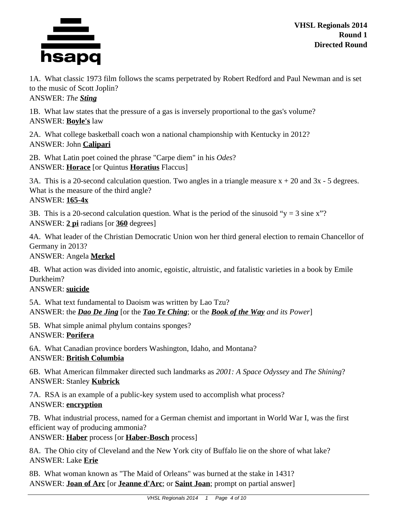

1A. What classic 1973 film follows the scams perpetrated by Robert Redford and Paul Newman and is set to the music of Scott Joplin? ANSWER: *The Sting*

1B. What law states that the pressure of a gas is inversely proportional to the gas's volume? ANSWER: **Boyle's** law

2A. What college basketball coach won a national championship with Kentucky in 2012? ANSWER: John **Calipari**

2B. What Latin poet coined the phrase "Carpe diem" in his *Odes*? ANSWER: **Horace** [or Quintus **Horatius** Flaccus]

3A. This is a 20-second calculation question. Two angles in a triangle measure  $x + 20$  and  $3x - 5$  degrees. What is the measure of the third angle? ANSWER: **165-4x**

3B. This is a 20-second calculation question. What is the period of the sinusoid " $y = 3$  sine x"? ANSWER: **2 pi** radians [or **360** degrees]

4A. What leader of the Christian Democratic Union won her third general election to remain Chancellor of Germany in 2013?

ANSWER: Angela **Merkel**

4B. What action was divided into anomic, egoistic, altruistic, and fatalistic varieties in a book by Emile Durkheim?

ANSWER: **suicide**

5A. What text fundamental to Daoism was written by Lao Tzu? ANSWER: the *Dao De Jing* [or the *Tao Te Ching*; or the *Book of the Way and its Power*]

5B. What simple animal phylum contains sponges? ANSWER: **Porifera**

6A. What Canadian province borders Washington, Idaho, and Montana? ANSWER: **British Columbia**

6B. What American filmmaker directed such landmarks as *2001: A Space Odyssey* and *The Shining*? ANSWER: Stanley **Kubrick**

7A. RSA is an example of a public-key system used to accomplish what process? ANSWER: **encryption**

7B. What industrial process, named for a German chemist and important in World War I, was the first efficient way of producing ammonia?

ANSWER: **Haber** process [or **Haber-Bosch** process]

8A. The Ohio city of Cleveland and the New York city of Buffalo lie on the shore of what lake? ANSWER: Lake **Erie**

8B. What woman known as "The Maid of Orleans" was burned at the stake in 1431? ANSWER: **Joan of Arc** [or **Jeanne d'Arc**; or **Saint Joan**; prompt on partial answer]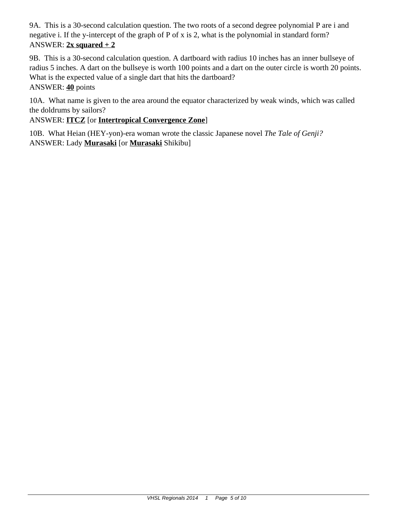9A. This is a 30-second calculation question. The two roots of a second degree polynomial P are i and negative i. If the y-intercept of the graph of P of x is 2, what is the polynomial in standard form? ANSWER:  $2x$  squared  $+2$ 

9B. This is a 30-second calculation question. A dartboard with radius 10 inches has an inner bullseye of radius 5 inches. A dart on the bullseye is worth 100 points and a dart on the outer circle is worth 20 points. What is the expected value of a single dart that hits the dartboard? ANSWER: **40** points

10A. What name is given to the area around the equator characterized by weak winds, which was called the doldrums by sailors?

ANSWER: **ITCZ** [or **Intertropical Convergence Zone**]

10B. What Heian (HEY-yon)-era woman wrote the classic Japanese novel *The Tale of Genji?* ANSWER: Lady **Murasaki** [or **Murasaki** Shikibu]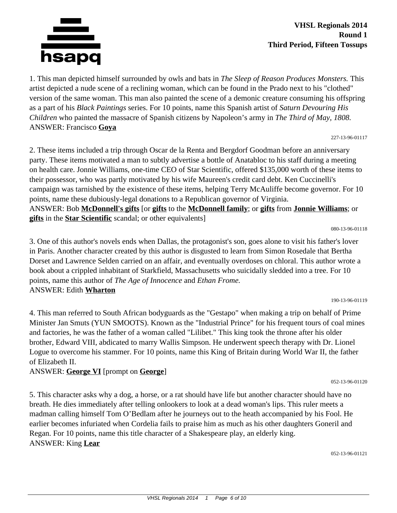

## **VHSL Regionals 2014 Round 1 Third Period, Fifteen Tossups**

1. This man depicted himself surrounded by owls and bats in *The Sleep of Reason Produces Monsters.* This artist depicted a nude scene of a reclining woman, which can be found in the Prado next to his "clothed" version of the same woman. This man also painted the scene of a demonic creature consuming his offspring as a part of his *Black Paintings* series. For 10 points, name this Spanish artist of *Saturn Devouring His Children* who painted the massacre of Spanish citizens by Napoleon's army in *The Third of May, 1808.* ANSWER: Francisco **Goya**

227-13-96-01117

2. These items included a trip through Oscar de la Renta and Bergdorf Goodman before an anniversary party. These items motivated a man to subtly advertise a bottle of Anatabloc to his staff during a meeting on health care. Jonnie Williams, one-time CEO of Star Scientific, offered \$135,000 worth of these items to their possessor, who was partly motivated by his wife Maureen's credit card debt. Ken Cuccinelli's campaign was tarnished by the existence of these items, helping Terry McAuliffe become governor. For 10 points, name these dubiously-legal donations to a Republican governor of Virginia. ANSWER: Bob **McDonnell's gifts** [or **gifts** to the **McDonnell family**; or **gifts** from **Jonnie Williams**; or **gifts** in the **Star Scientific** scandal; or other equivalents]

080-13-96-01118

3. One of this author's novels ends when Dallas, the protagonist's son, goes alone to visit his father's lover in Paris. Another character created by this author is disgusted to learn from Simon Rosedale that Bertha Dorset and Lawrence Selden carried on an affair, and eventually overdoses on chloral. This author wrote a book about a crippled inhabitant of Starkfield, Massachusetts who suicidally sledded into a tree. For 10 points, name this author of *The Age of Innocence* and *Ethan Frome.* ANSWER: Edith **Wharton**

190-13-96-01119

4. This man referred to South African bodyguards as the "Gestapo" when making a trip on behalf of Prime Minister Jan Smuts (YUN SMOOTS). Known as the "Industrial Prince" for his frequent tours of coal mines and factories, he was the father of a woman called "Lilibet." This king took the throne after his older brother, Edward VIII, abdicated to marry Wallis Simpson. He underwent speech therapy with Dr. Lionel Logue to overcome his stammer. For 10 points, name this King of Britain during World War II, the father of Elizabeth II.

ANSWER: **George VI** [prompt on **George**]

5. This character asks why a dog, a horse, or a rat should have life but another character should have no breath. He dies immediately after telling onlookers to look at a dead woman's lips. This ruler meets a madman calling himself Tom O'Bedlam after he journeys out to the heath accompanied by his Fool. He earlier becomes infuriated when Cordelia fails to praise him as much as his other daughters Goneril and Regan. For 10 points, name this title character of a Shakespeare play, an elderly king. ANSWER: King **Lear**

052-13-96-01121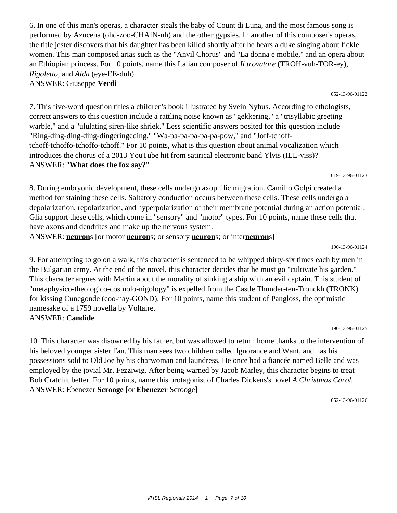6. In one of this man's operas, a character steals the baby of Count di Luna, and the most famous song is performed by Azucena (ohd-zoo-CHAIN-uh) and the other gypsies. In another of this composer's operas, the title jester discovers that his daughter has been killed shortly after he hears a duke singing about fickle women. This man composed arias such as the "Anvil Chorus" and "La donna e mobile," and an opera about an Ethiopian princess. For 10 points, name this Italian composer of *Il trovatore* (TROH-vuh-TOR-ey), *Rigoletto*, and *Aida* (eye-EE-duh).

# ANSWER: Giuseppe **Verdi**

7. This five-word question titles a children's book illustrated by Svein Nyhus. According to ethologists, correct answers to this question include a rattling noise known as "gekkering," a "trisyllabic greeting warble," and a "ululating siren-like shriek." Less scientific answers posited for this question include "Ring-ding-ding-ding-dingeringeding," "Wa-pa-pa-pa-pa-pa-pow," and "Joff-tchofftchoff-tchoffo-tchoffo-tchoff." For 10 points, what is this question about animal vocalization which introduces the chorus of a 2013 YouTube hit from satirical electronic band Ylvis (ILL-viss)? ANSWER: "**What does the fox say?**"

019-13-96-01123

8. During embryonic development, these cells undergo axophilic migration. Camillo Golgi created a method for staining these cells. Saltatory conduction occurs between these cells. These cells undergo a depolarization, repolarization, and hyperpolarization of their membrane potential during an action potential. Glia support these cells, which come in "sensory" and "motor" types. For 10 points, name these cells that have axons and dendrites and make up the nervous system.

ANSWER: **neuron**s [or motor **neuron**s; or sensory **neuron**s; or inter**neuron**s]

190-13-96-01124

9. For attempting to go on a walk, this character is sentenced to be whipped thirty-six times each by men in the Bulgarian army. At the end of the novel, this character decides that he must go "cultivate his garden." This character argues with Martin about the morality of sinking a ship with an evil captain. This student of "metaphysico-theologico-cosmolo-nigology" is expelled from the Castle Thunder-ten-Tronckh (TRONK) for kissing Cunegonde (coo-nay-GOND). For 10 points, name this student of Pangloss, the optimistic namesake of a 1759 novella by Voltaire. ANSWER: **Candide**

190-13-96-01125

10. This character was disowned by his father, but was allowed to return home thanks to the intervention of his beloved younger sister Fan. This man sees two children called Ignorance and Want, and has his possessions sold to Old Joe by his charwoman and laundress. He once had a fiancée named Belle and was employed by the jovial Mr. Fezziwig. After being warned by Jacob Marley, this character begins to treat Bob Cratchit better. For 10 points, name this protagonist of Charles Dickens's novel *A Christmas Carol.* ANSWER: Ebenezer **Scrooge** [or **Ebenezer** Scrooge]

052-13-96-01126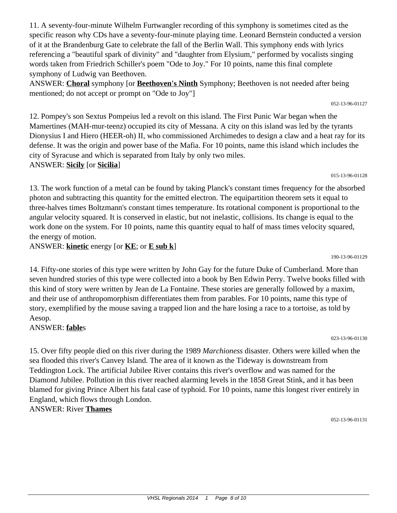11. A seventy-four-minute Wilhelm Furtwangler recording of this symphony is sometimes cited as the specific reason why CDs have a seventy-four-minute playing time. Leonard Bernstein conducted a version of it at the Brandenburg Gate to celebrate the fall of the Berlin Wall. This symphony ends with lyrics referencing a "beautiful spark of divinity" and "daughter from Elysium," performed by vocalists singing words taken from Friedrich Schiller's poem "Ode to Joy." For 10 points, name this final complete symphony of Ludwig van Beethoven.

ANSWER: **Choral** symphony [or **Beethoven's Ninth** Symphony; Beethoven is not needed after being mentioned; do not accept or prompt on "Ode to Joy"]

12. Pompey's son Sextus Pompeius led a revolt on this island. The First Punic War began when the Mamertines (MAH-mur-teenz) occupied its city of Messana. A city on this island was led by the tyrants Dionysius I and Hiero (HEER-oh) II, who commissioned Archimedes to design a claw and a heat ray for its defense. It was the origin and power base of the Mafia. For 10 points, name this island which includes the city of Syracuse and which is separated from Italy by only two miles. ANSWER: **Sicily** [or **Sicilia**]

13. The work function of a metal can be found by taking Planck's constant times frequency for the absorbed photon and subtracting this quantity for the emitted electron. The equipartition theorem sets it equal to three-halves times Boltzmann's constant times temperature. Its rotational component is proportional to the angular velocity squared. It is conserved in elastic, but not inelastic, collisions. Its change is equal to the work done on the system. For 10 points, name this quantity equal to half of mass times velocity squared, the energy of motion.

ANSWER: **kinetic** energy [or **KE**; or **E sub k**]

14. Fifty-one stories of this type were written by John Gay for the future Duke of Cumberland. More than seven hundred stories of this type were collected into a book by Ben Edwin Perry. Twelve books filled with this kind of story were written by Jean de La Fontaine. These stories are generally followed by a maxim, and their use of anthropomorphism differentiates them from parables. For 10 points, name this type of story, exemplified by the mouse saving a trapped lion and the hare losing a race to a tortoise, as told by Aesop.

ANSWER: **fable**s

15. Over fifty people died on this river during the 1989 *Marchioness* disaster. Others were killed when the sea flooded this river's Canvey Island. The area of it known as the Tideway is downstream from Teddington Lock. The artificial Jubilee River contains this river's overflow and was named for the Diamond Jubilee. Pollution in this river reached alarming levels in the 1858 Great Stink, and it has been blamed for giving Prince Albert his fatal case of typhoid. For 10 points, name this longest river entirely in England, which flows through London.

ANSWER: River **Thames**

052-13-96-01131

### 190-13-96-01129

## 052-13-96-01127

015-13-96-01128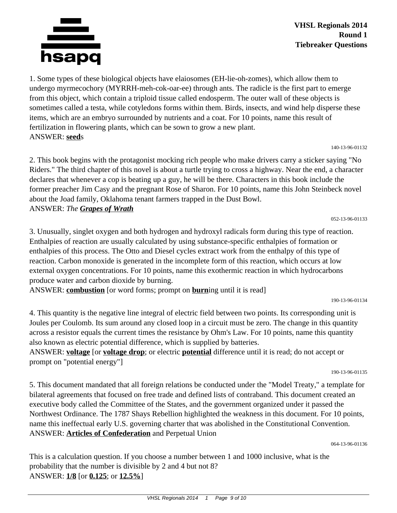

1. Some types of these biological objects have elaiosomes (EH-lie-oh-zomes), which allow them to undergo myrmecochory (MYRRH-meh-cok-oar-ee) through ants. The radicle is the first part to emerge from this object, which contain a triploid tissue called endosperm. The outer wall of these objects is sometimes called a testa, while cotyledons forms within them. Birds, insects, and wind help disperse these items, which are an embryo surrounded by nutrients and a coat. For 10 points, name this result of fertilization in flowering plants, which can be sown to grow a new plant. ANSWER: **seed**s

140-13-96-01132

2. This book begins with the protagonist mocking rich people who make drivers carry a sticker saying "No Riders." The third chapter of this novel is about a turtle trying to cross a highway. Near the end, a character declares that whenever a cop is beating up a guy, he will be there. Characters in this book include the former preacher Jim Casy and the pregnant Rose of Sharon. For 10 points, name this John Steinbeck novel about the Joad family, Oklahoma tenant farmers trapped in the Dust Bowl. ANSWER: *The Grapes of Wrath*

052-13-96-01133

3. Unusually, singlet oxygen and both hydrogen and hydroxyl radicals form during this type of reaction. Enthalpies of reaction are usually calculated by using substance-specific enthalpies of formation or enthalpies of this process. The Otto and Diesel cycles extract work from the enthalpy of this type of reaction. Carbon monoxide is generated in the incomplete form of this reaction, which occurs at low external oxygen concentrations. For 10 points, name this exothermic reaction in which hydrocarbons produce water and carbon dioxide by burning.

ANSWER: **combustion** [or word forms; prompt on **burn**ing until it is read]

4. This quantity is the negative line integral of electric field between two points. Its corresponding unit is Joules per Coulomb. Its sum around any closed loop in a circuit must be zero. The change in this quantity across a resistor equals the current times the resistance by Ohm's Law. For 10 points, name this quantity also known as electric potential difference, which is supplied by batteries.

ANSWER: **voltage** [or **voltage drop**; or electric **potential** difference until it is read; do not accept or prompt on "potential energy"]

190-13-96-01135

5. This document mandated that all foreign relations be conducted under the "Model Treaty," a template for bilateral agreements that focused on free trade and defined lists of contraband. This document created an executive body called the Committee of the States, and the government organized under it passed the Northwest Ordinance. The 1787 Shays Rebellion highlighted the weakness in this document. For 10 points, name this ineffectual early U.S. governing charter that was abolished in the Constitutional Convention. ANSWER: **Articles of Confederation** and Perpetual Union

064-13-96-01136

This is a calculation question. If you choose a number between 1 and 1000 inclusive, what is the probability that the number is divisible by 2 and 4 but not 8? ANSWER: **1/8** [or **0.125**; or **12.5%**]

<sup>190-13-96-01134</sup>